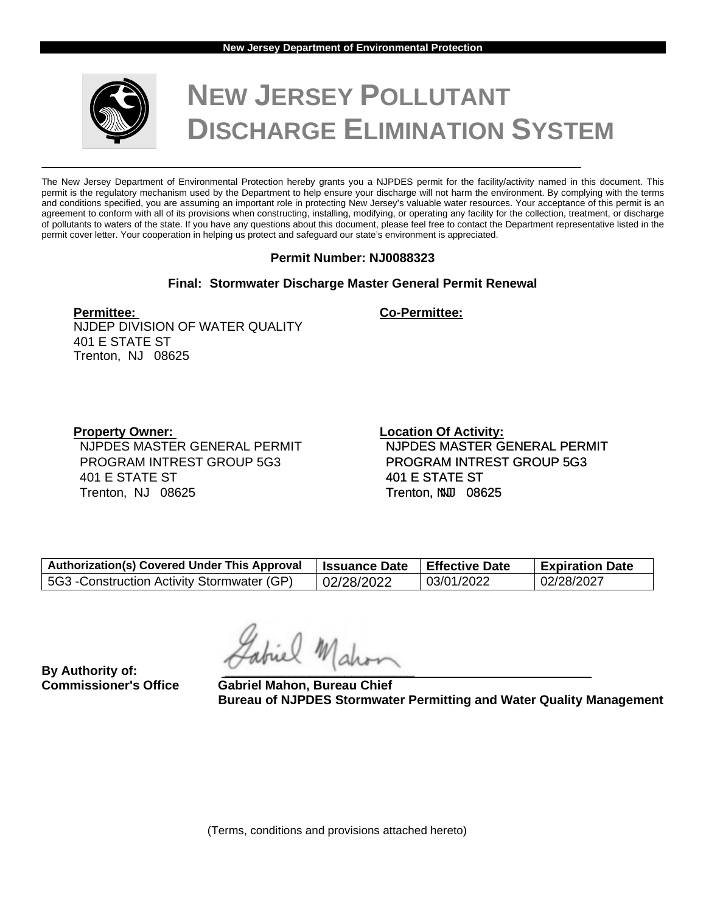

# **NEW JERSEY POLLUTANT DISCHARGE ELIMINATION SYSTEM**

The New Jersey Department of Environmental Protection hereby grants you a NJPDES permit for the facility/activity named in this document. This permit is the regulatory mechanism used by the Department to help ensure your discharge will not harm the environment. By complying with the terms and conditions specified, you are assuming an important role in protecting New Jersey's valuable water resources. Your acceptance of this permit is an agreement to conform with all of its provisions when constructing, installing, modifying, or operating any facility for the collection, treatment, or discharge of pollutants to waters of the state. If you have any questions about this document, please feel free to contact the Department representative listed in the permit cover letter. Your cooperation in helping us protect and safeguard our state's environment is appreciated.

# **Permit Number: NJ0088323**

# **Final: Stormwater Discharge Master General Permit Renewal**

**Permittee: Co-Permittee:**

NJDEP DIVISION OF WATER QUALITY 401 E STATE ST Trenton, NJ 08625

NJPDES MASTER GENERAL PERMIT PROGRAM INTREST GROUP 5G3 401 E STATE ST Trenton, NJ 08625

**Property Owner:** Constant Constanting Property Owner: Constant Constant Constant Constant Constant Constant Constant Constant Constant Constant Constant Constant Constant Constant Constant Constant Constant Constant Const NJPDES MASTER GENERAL PERMIT PROGRAM INTREST GROUP 5G3 401 E STATE ST Trenton, NNU 08625

| <b>Authorization(s) Covered Under This Approval</b> | <b>∣ Issuance Date</b> | l Effective Date | <b>Expiration Date</b> |
|-----------------------------------------------------|------------------------|------------------|------------------------|
| 5G3 - Construction Activity Stormwater (GP)         | 02/28/2022             | 03/01/2022       | 02/28/2027             |

**By Authority of:** 

**Commissioner's Office Gabriel Mahon, Bureau Chief Bureau of NJPDES Stormwater Permitting and Water Quality Management**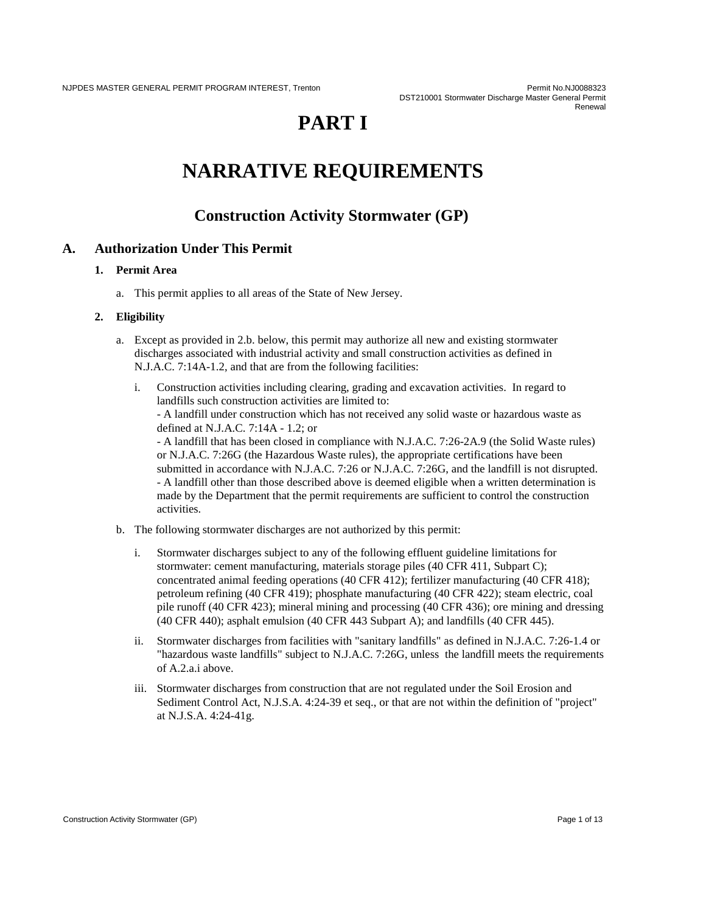# **PART I**

# **NARRATIVE REQUIREMENTS**

# **Construction Activity Stormwater (GP)**

# **A. Authorization Under This Permit**

#### **1. Permit Area**

a. This permit applies to all areas of the State of New Jersey.

#### **2. Eligibility**

- a. Except as provided in 2.b. below, this permit may authorize all new and existing stormwater discharges associated with industrial activity and small construction activities as defined in N.J.A.C. 7:14A-1.2, and that are from the following facilities:
	- i. Construction activities including clearing, grading and excavation activities. In regard to landfills such construction activities are limited to: - A landfill under construction which has not received any solid waste or hazardous waste as defined at N.J.A.C. 7:14A - 1.2; or - A landfill that has been closed in compliance with N.J.A.C. 7:26-2A.9 (the Solid Waste rules) or N.J.A.C. 7:26G (the Hazardous Waste rules), the appropriate certifications have been submitted in accordance with N.J.A.C. 7:26 or N.J.A.C. 7:26G, and the landfill is not disrupted. - A landfill other than those described above is deemed eligible when a written determination is made by the Department that the permit requirements are sufficient to control the construction activities.
- b. The following stormwater discharges are not authorized by this permit:
	- i. Stormwater discharges subject to any of the following effluent guideline limitations for stormwater: cement manufacturing, materials storage piles (40 CFR 411, Subpart C); concentrated animal feeding operations (40 CFR 412); fertilizer manufacturing (40 CFR 418); petroleum refining (40 CFR 419); phosphate manufacturing (40 CFR 422); steam electric, coal pile runoff (40 CFR 423); mineral mining and processing (40 CFR 436); ore mining and dressing (40 CFR 440); asphalt emulsion (40 CFR 443 Subpart A); and landfills (40 CFR 445).
	- ii. Stormwater discharges from facilities with "sanitary landfills" as defined in N.J.A.C. 7:26-1.4 or "hazardous waste landfills" subject to N.J.A.C. 7:26G, unless the landfill meets the requirements of A.2.a.i above.
	- iii. Stormwater discharges from construction that are not regulated under the Soil Erosion and Sediment Control Act, N.J.S.A. 4:24-39 et seq., or that are not within the definition of "project" at N.J.S.A. 4:24-41g.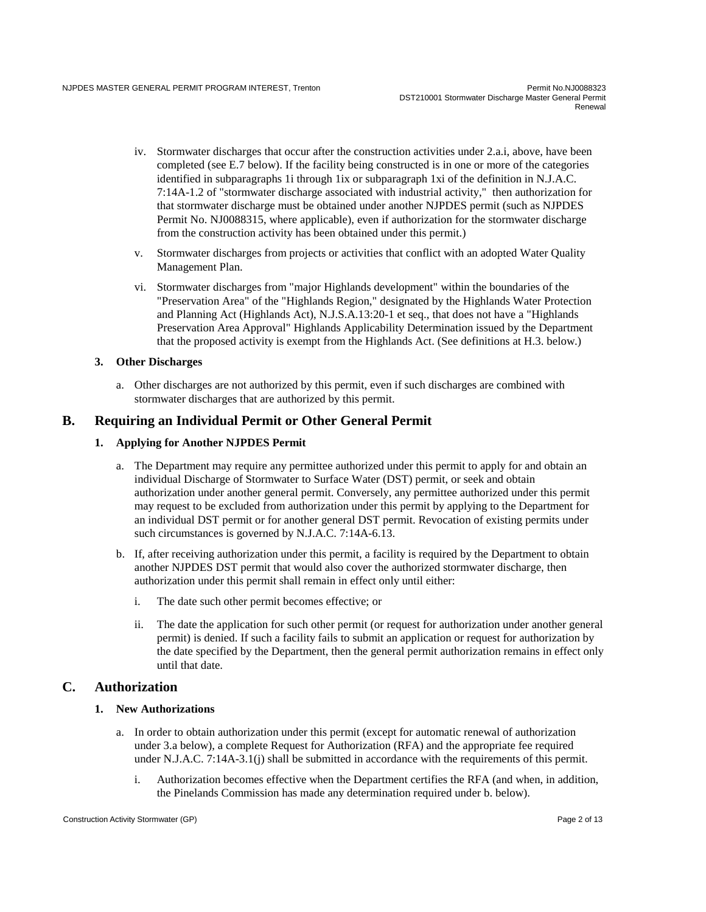- iv. Stormwater discharges that occur after the construction activities under 2.a.i, above, have been completed (see E.7 below). If the facility being constructed is in one or more of the categories identified in subparagraphs 1i through 1ix or subparagraph 1xi of the definition in N.J.A.C. 7:14A-1.2 of "stormwater discharge associated with industrial activity," then authorization for that stormwater discharge must be obtained under another NJPDES permit (such as NJPDES Permit No. NJ0088315, where applicable), even if authorization for the stormwater discharge from the construction activity has been obtained under this permit.)
- v. Stormwater discharges from projects or activities that conflict with an adopted Water Quality Management Plan.
- vi. Stormwater discharges from "major Highlands development" within the boundaries of the "Preservation Area" of the "Highlands Region," designated by the Highlands Water Protection and Planning Act (Highlands Act), N.J.S.A.13:20-1 et seq., that does not have a "Highlands Preservation Area Approval" Highlands Applicability Determination issued by the Department that the proposed activity is exempt from the Highlands Act. (See definitions at H.3. below.)

#### **3. Other Discharges**

a. Other discharges are not authorized by this permit, even if such discharges are combined with stormwater discharges that are authorized by this permit.

# **B. Requiring an Individual Permit or Other General Permit**

#### **1. Applying for Another NJPDES Permit**

- a. The Department may require any permittee authorized under this permit to apply for and obtain an individual Discharge of Stormwater to Surface Water (DST) permit, or seek and obtain authorization under another general permit. Conversely, any permittee authorized under this permit may request to be excluded from authorization under this permit by applying to the Department for an individual DST permit or for another general DST permit. Revocation of existing permits under such circumstances is governed by N.J.A.C. 7:14A-6.13.
- b. If, after receiving authorization under this permit, a facility is required by the Department to obtain another NJPDES DST permit that would also cover the authorized stormwater discharge, then authorization under this permit shall remain in effect only until either:
	- i. The date such other permit becomes effective; or
	- ii. The date the application for such other permit (or request for authorization under another general permit) is denied. If such a facility fails to submit an application or request for authorization by the date specified by the Department, then the general permit authorization remains in effect only until that date.

#### **C. Authorization**

#### **1. New Authorizations**

- a. In order to obtain authorization under this permit (except for automatic renewal of authorization under 3.a below), a complete Request for Authorization (RFA) and the appropriate fee required under N.J.A.C. 7:14A-3.1(j) shall be submitted in accordance with the requirements of this permit.
	- i. Authorization becomes effective when the Department certifies the RFA (and when, in addition, the Pinelands Commission has made any determination required under b. below).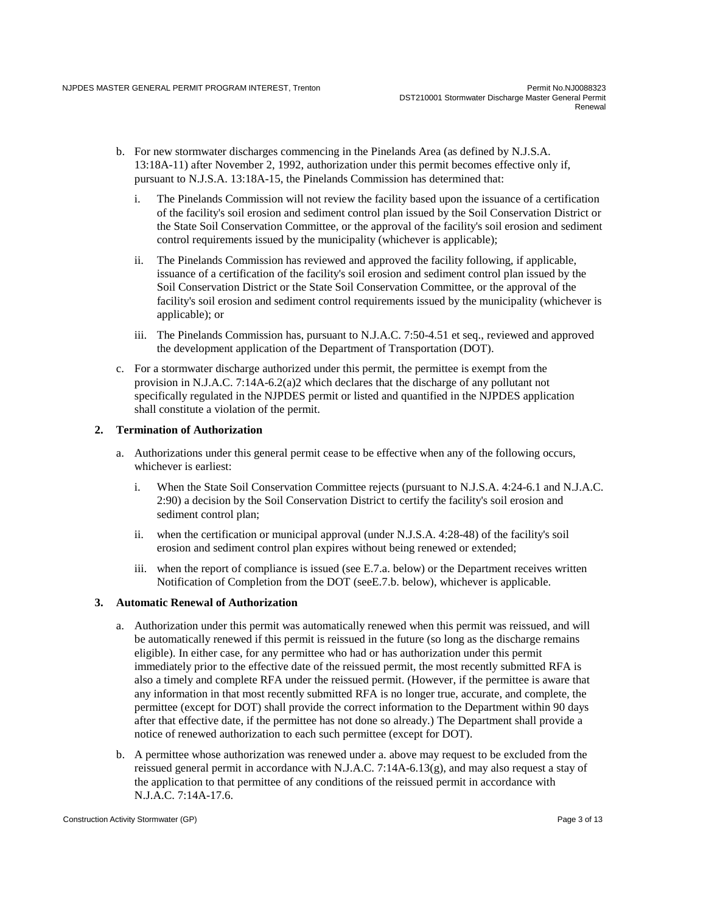- b. For new stormwater discharges commencing in the Pinelands Area (as defined by N.J.S.A. 13:18A-11) after November 2, 1992, authorization under this permit becomes effective only if, pursuant to N.J.S.A. 13:18A-15, the Pinelands Commission has determined that:
	- i. The Pinelands Commission will not review the facility based upon the issuance of a certification of the facility's soil erosion and sediment control plan issued by the Soil Conservation District or the State Soil Conservation Committee, or the approval of the facility's soil erosion and sediment control requirements issued by the municipality (whichever is applicable);
	- ii. The Pinelands Commission has reviewed and approved the facility following, if applicable, issuance of a certification of the facility's soil erosion and sediment control plan issued by the Soil Conservation District or the State Soil Conservation Committee, or the approval of the facility's soil erosion and sediment control requirements issued by the municipality (whichever is applicable); or
	- iii. The Pinelands Commission has, pursuant to N.J.A.C. 7:50-4.51 et seq., reviewed and approved the development application of the Department of Transportation (DOT).
- c. For a stormwater discharge authorized under this permit, the permittee is exempt from the provision in N.J.A.C. 7:14A-6.2(a)2 which declares that the discharge of any pollutant not specifically regulated in the NJPDES permit or listed and quantified in the NJPDES application shall constitute a violation of the permit.

#### **2. Termination of Authorization**

- a. Authorizations under this general permit cease to be effective when any of the following occurs, whichever is earliest:
	- i. When the State Soil Conservation Committee rejects (pursuant to N.J.S.A. 4:24-6.1 and N.J.A.C. 2:90) a decision by the Soil Conservation District to certify the facility's soil erosion and sediment control plan;
	- ii. when the certification or municipal approval (under N.J.S.A. 4:28-48) of the facility's soil erosion and sediment control plan expires without being renewed or extended;
	- iii. when the report of compliance is issued (see E.7.a. below) or the Department receives written Notification of Completion from the DOT (seeE.7.b. below), whichever is applicable.

#### **3. Automatic Renewal of Authorization**

- a. Authorization under this permit was automatically renewed when this permit was reissued, and will be automatically renewed if this permit is reissued in the future (so long as the discharge remains eligible). In either case, for any permittee who had or has authorization under this permit immediately prior to the effective date of the reissued permit, the most recently submitted RFA is also a timely and complete RFA under the reissued permit. (However, if the permittee is aware that any information in that most recently submitted RFA is no longer true, accurate, and complete, the permittee (except for DOT) shall provide the correct information to the Department within 90 days after that effective date, if the permittee has not done so already.) The Department shall provide a notice of renewed authorization to each such permittee (except for DOT).
- b. A permittee whose authorization was renewed under a. above may request to be excluded from the reissued general permit in accordance with N.J.A.C. 7:14A-6.13(g), and may also request a stay of the application to that permittee of any conditions of the reissued permit in accordance with N.J.A.C. 7:14A-17.6.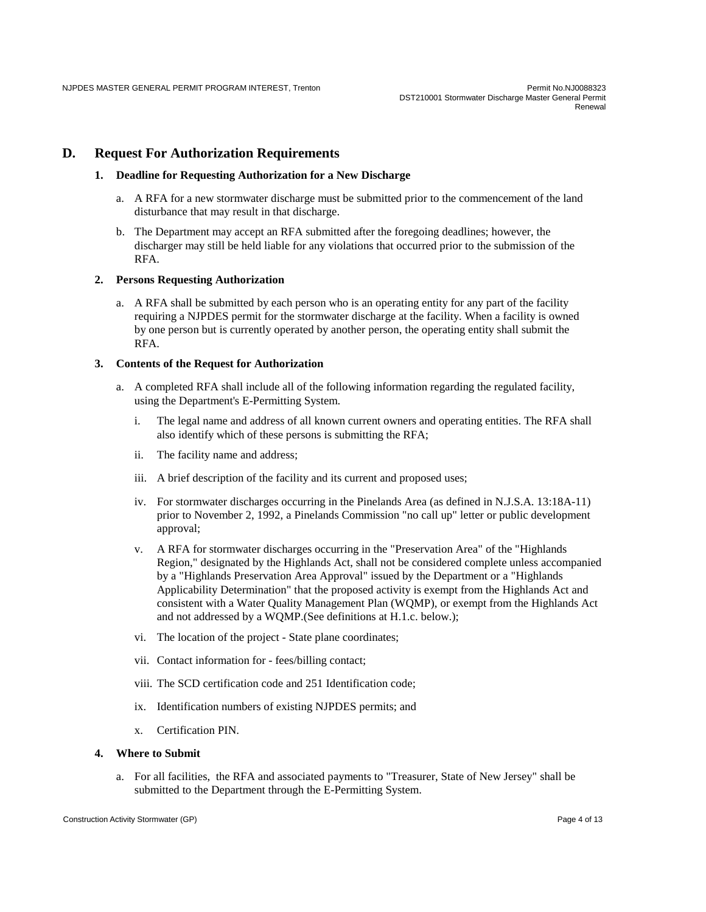#### **D. Request For Authorization Requirements**

#### **1. Deadline for Requesting Authorization for a New Discharge**

- a. A RFA for a new stormwater discharge must be submitted prior to the commencement of the land disturbance that may result in that discharge.
- b. The Department may accept an RFA submitted after the foregoing deadlines; however, the discharger may still be held liable for any violations that occurred prior to the submission of the RFA.

#### **2. Persons Requesting Authorization**

a. A RFA shall be submitted by each person who is an operating entity for any part of the facility requiring a NJPDES permit for the stormwater discharge at the facility. When a facility is owned by one person but is currently operated by another person, the operating entity shall submit the RFA.

#### **3. Contents of the Request for Authorization**

- a. A completed RFA shall include all of the following information regarding the regulated facility, using the Department's E-Permitting System.
	- i. The legal name and address of all known current owners and operating entities. The RFA shall also identify which of these persons is submitting the RFA;
	- ii. The facility name and address;
	- iii. A brief description of the facility and its current and proposed uses;
	- iv. For stormwater discharges occurring in the Pinelands Area (as defined in N.J.S.A. 13:18A-11) prior to November 2, 1992, a Pinelands Commission "no call up" letter or public development approval;
	- v. A RFA for stormwater discharges occurring in the "Preservation Area" of the "Highlands Region," designated by the Highlands Act, shall not be considered complete unless accompanied by a "Highlands Preservation Area Approval" issued by the Department or a "Highlands Applicability Determination" that the proposed activity is exempt from the Highlands Act and consistent with a Water Quality Management Plan (WQMP), or exempt from the Highlands Act and not addressed by a WQMP.(See definitions at H.1.c. below.);
	- vi. The location of the project State plane coordinates;
	- vii. Contact information for fees/billing contact;
	- viii. The SCD certification code and 251 Identification code;
	- ix. Identification numbers of existing NJPDES permits; and
	- x. Certification PIN.

#### **4. Where to Submit**

a. For all facilities, the RFA and associated payments to "Treasurer, State of New Jersey" shall be submitted to the Department through the E-Permitting System.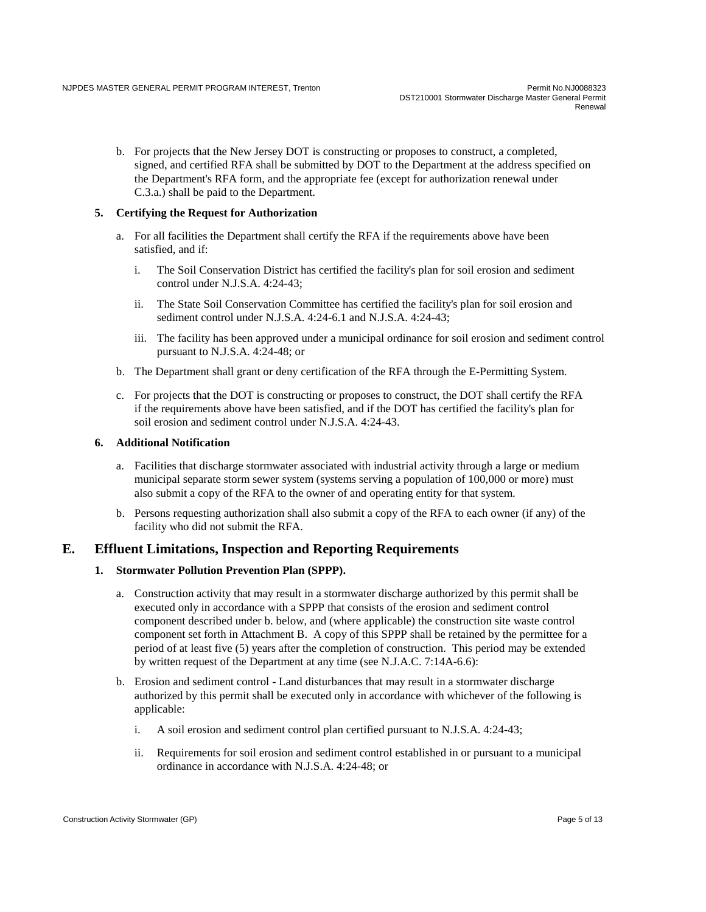b. For projects that the New Jersey DOT is constructing or proposes to construct, a completed, signed, and certified RFA shall be submitted by DOT to the Department at the address specified on the Department's RFA form, and the appropriate fee (except for authorization renewal under C.3.a.) shall be paid to the Department.

#### **5. Certifying the Request for Authorization**

- a. For all facilities the Department shall certify the RFA if the requirements above have been satisfied, and if:
	- i. The Soil Conservation District has certified the facility's plan for soil erosion and sediment control under N.J.S.A. 4:24-43;
	- ii. The State Soil Conservation Committee has certified the facility's plan for soil erosion and sediment control under N.J.S.A. 4:24-6.1 and N.J.S.A. 4:24-43;
	- iii. The facility has been approved under a municipal ordinance for soil erosion and sediment control pursuant to N.J.S.A. 4:24-48; or
- b. The Department shall grant or deny certification of the RFA through the E-Permitting System.
- c. For projects that the DOT is constructing or proposes to construct, the DOT shall certify the RFA if the requirements above have been satisfied, and if the DOT has certified the facility's plan for soil erosion and sediment control under N.J.S.A. 4:24-43.

#### **6. Additional Notification**

- a. Facilities that discharge stormwater associated with industrial activity through a large or medium municipal separate storm sewer system (systems serving a population of 100,000 or more) must also submit a copy of the RFA to the owner of and operating entity for that system.
- b. Persons requesting authorization shall also submit a copy of the RFA to each owner (if any) of the facility who did not submit the RFA.

#### **E. Effluent Limitations, Inspection and Reporting Requirements**

#### **1. Stormwater Pollution Prevention Plan (SPPP).**

- a. Construction activity that may result in a stormwater discharge authorized by this permit shall be executed only in accordance with a SPPP that consists of the erosion and sediment control component described under b. below, and (where applicable) the construction site waste control component set forth in Attachment B. A copy of this SPPP shall be retained by the permittee for a period of at least five (5) years after the completion of construction. This period may be extended by written request of the Department at any time (see N.J.A.C. 7:14A-6.6):
- b. Erosion and sediment control Land disturbances that may result in a stormwater discharge authorized by this permit shall be executed only in accordance with whichever of the following is applicable:
	- i. A soil erosion and sediment control plan certified pursuant to N.J.S.A. 4:24-43;
	- ii. Requirements for soil erosion and sediment control established in or pursuant to a municipal ordinance in accordance with N.J.S.A. 4:24-48; or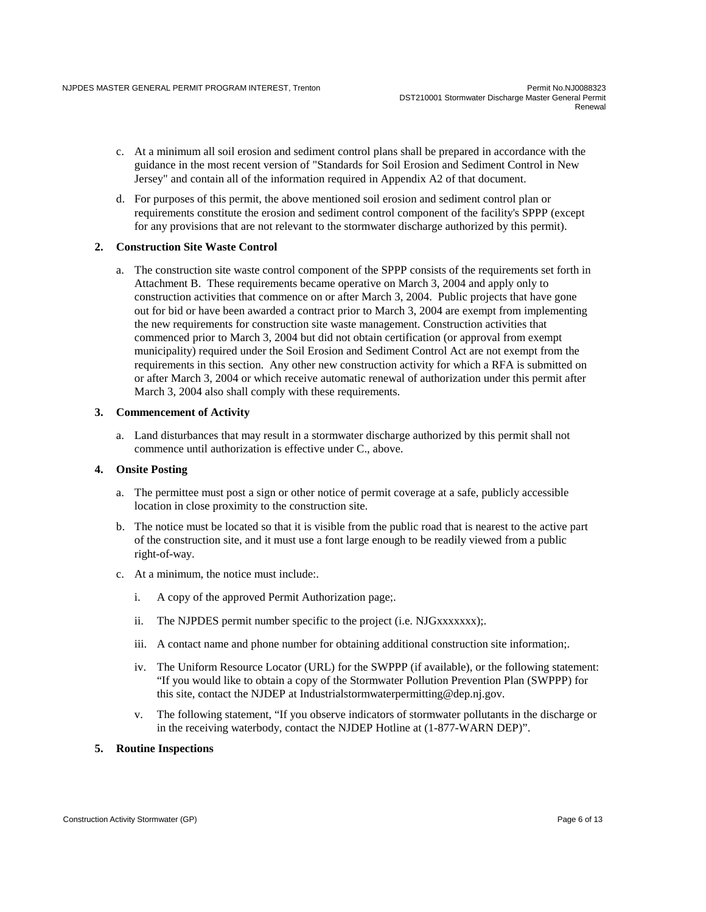- c. At a minimum all soil erosion and sediment control plans shall be prepared in accordance with the guidance in the most recent version of "Standards for Soil Erosion and Sediment Control in New Jersey" and contain all of the information required in Appendix A2 of that document.
- d. For purposes of this permit, the above mentioned soil erosion and sediment control plan or requirements constitute the erosion and sediment control component of the facility's SPPP (except for any provisions that are not relevant to the stormwater discharge authorized by this permit).

#### **2. Construction Site Waste Control**

a. The construction site waste control component of the SPPP consists of the requirements set forth in Attachment B. These requirements became operative on March 3, 2004 and apply only to construction activities that commence on or after March 3, 2004. Public projects that have gone out for bid or have been awarded a contract prior to March 3, 2004 are exempt from implementing the new requirements for construction site waste management. Construction activities that commenced prior to March 3, 2004 but did not obtain certification (or approval from exempt municipality) required under the Soil Erosion and Sediment Control Act are not exempt from the requirements in this section. Any other new construction activity for which a RFA is submitted on or after March 3, 2004 or which receive automatic renewal of authorization under this permit after March 3, 2004 also shall comply with these requirements.

#### **3. Commencement of Activity**

a. Land disturbances that may result in a stormwater discharge authorized by this permit shall not commence until authorization is effective under C., above.

#### **4. Onsite Posting**

- a. The permittee must post a sign or other notice of permit coverage at a safe, publicly accessible location in close proximity to the construction site.
- b. The notice must be located so that it is visible from the public road that is nearest to the active part of the construction site, and it must use a font large enough to be readily viewed from a public right-of-way.
- c. At a minimum, the notice must include:.
	- i. A copy of the approved Permit Authorization page;.
	- ii. The NJPDES permit number specific to the project (i.e. NJGxxxxxxx);.
	- iii. A contact name and phone number for obtaining additional construction site information;.
	- iv. The Uniform Resource Locator (URL) for the SWPPP (if available), or the following statement: "If you would like to obtain a copy of the Stormwater Pollution Prevention Plan (SWPPP) for this site, contact the NJDEP at Industrialstormwaterpermitting@dep.nj.gov.
	- v. The following statement, "If you observe indicators of stormwater pollutants in the discharge or in the receiving waterbody, contact the NJDEP Hotline at (1-877-WARN DEP)".
- **5. Routine Inspections**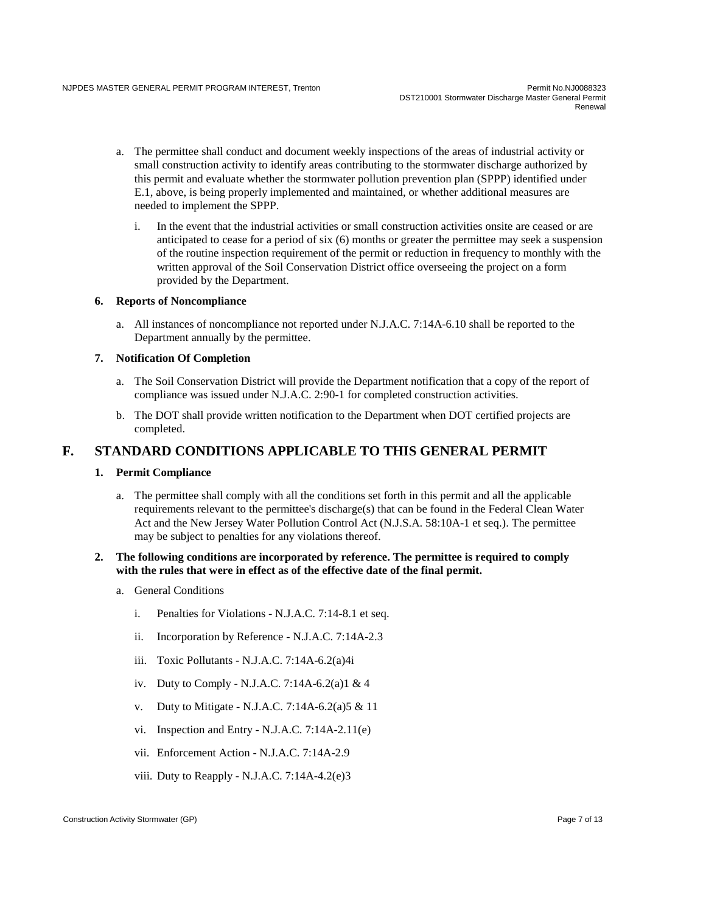- a. The permittee shall conduct and document weekly inspections of the areas of industrial activity or small construction activity to identify areas contributing to the stormwater discharge authorized by this permit and evaluate whether the stormwater pollution prevention plan (SPPP) identified under E.1, above, is being properly implemented and maintained, or whether additional measures are needed to implement the SPPP.
	- i. In the event that the industrial activities or small construction activities onsite are ceased or are anticipated to cease for a period of six (6) months or greater the permittee may seek a suspension of the routine inspection requirement of the permit or reduction in frequency to monthly with the written approval of the Soil Conservation District office overseeing the project on a form provided by the Department.

#### **6. Reports of Noncompliance**

a. All instances of noncompliance not reported under N.J.A.C. 7:14A-6.10 shall be reported to the Department annually by the permittee.

#### **7. Notification Of Completion**

- a. The Soil Conservation District will provide the Department notification that a copy of the report of compliance was issued under N.J.A.C. 2:90-1 for completed construction activities.
- b. The DOT shall provide written notification to the Department when DOT certified projects are completed.

# **F. STANDARD CONDITIONS APPLICABLE TO THIS GENERAL PERMIT**

#### **1. Permit Compliance**

a. The permittee shall comply with all the conditions set forth in this permit and all the applicable requirements relevant to the permittee's discharge(s) that can be found in the Federal Clean Water Act and the New Jersey Water Pollution Control Act (N.J.S.A. 58:10A-1 et seq.). The permittee may be subject to penalties for any violations thereof.

#### **2. The following conditions are incorporated by reference. The permittee is required to comply with the rules that were in effect as of the effective date of the final permit.**

- a. General Conditions
	- i. Penalties for Violations N.J.A.C. 7:14-8.1 et seq.
	- ii. Incorporation by Reference N.J.A.C. 7:14A-2.3
	- iii. Toxic Pollutants N.J.A.C. 7:14A-6.2(a)4i
	- iv. Duty to Comply N.J.A.C. 7:14A-6.2(a)1 & 4
	- v. Duty to Mitigate N.J.A.C. 7:14A-6.2(a)5 & 11
	- vi. Inspection and Entry N.J.A.C. 7:14A-2.11(e)
	- vii. Enforcement Action N.J.A.C. 7:14A-2.9
	- viii. Duty to Reapply N.J.A.C. 7:14A-4.2(e)3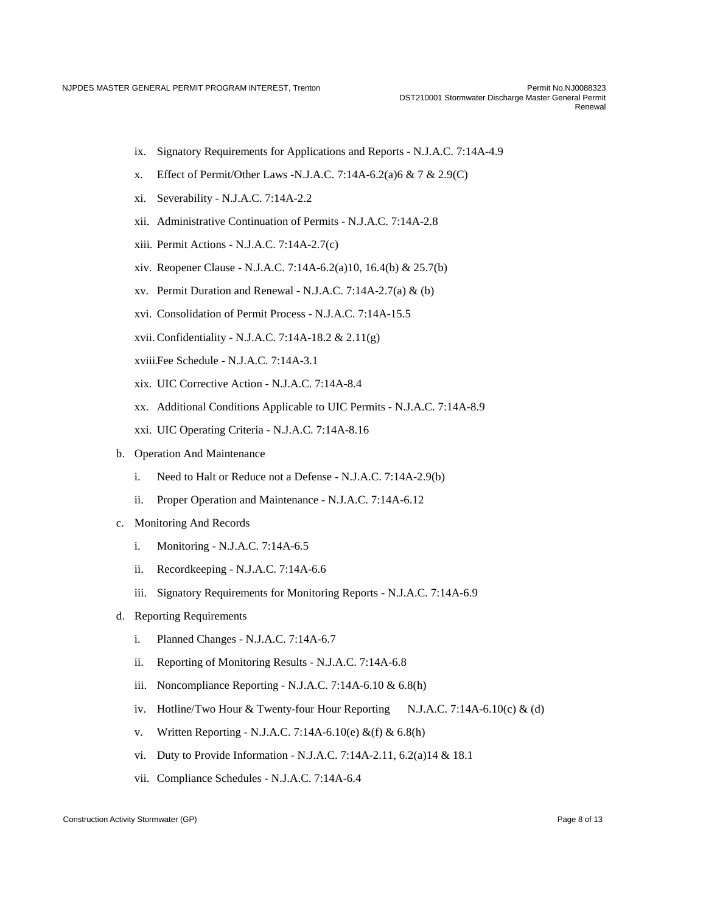- ix. Signatory Requirements for Applications and Reports N.J.A.C. 7:14A-4.9
- x. Effect of Permit/Other Laws -N.J.A.C. 7:14A-6.2(a)  $6 \& 7 \& 2.9(C)$
- xi. Severability N.J.A.C. 7:14A-2.2
- xii. Administrative Continuation of Permits N.J.A.C. 7:14A-2.8
- xiii. Permit Actions N.J.A.C. 7:14A-2.7(c)
- xiv. Reopener Clause N.J.A.C. 7:14A-6.2(a)10, 16.4(b) & 25.7(b)
- xv. Permit Duration and Renewal N.J.A.C. 7:14A-2.7(a)  $&$  (b)
- xvi. Consolidation of Permit Process N.J.A.C. 7:14A-15.5
- xvii.Confidentiality N.J.A.C. 7:14A-18.2 & 2.11(g)
- xviii.Fee Schedule N.J.A.C. 7:14A-3.1
- xix. UIC Corrective Action N.J.A.C. 7:14A-8.4
- xx. Additional Conditions Applicable to UIC Permits N.J.A.C. 7:14A-8.9
- xxi. UIC Operating Criteria N.J.A.C. 7:14A-8.16
- b. Operation And Maintenance
	- i. Need to Halt or Reduce not a Defense N.J.A.C. 7:14A-2.9(b)
	- ii. Proper Operation and Maintenance N.J.A.C. 7:14A-6.12
- c. Monitoring And Records
	- i. Monitoring N.J.A.C. 7:14A-6.5
	- ii. Recordkeeping N.J.A.C. 7:14A-6.6
	- iii. Signatory Requirements for Monitoring Reports N.J.A.C. 7:14A-6.9
- d. Reporting Requirements
	- i. Planned Changes N.J.A.C. 7:14A-6.7
	- ii. Reporting of Monitoring Results N.J.A.C. 7:14A-6.8
	- iii. Noncompliance Reporting N.J.A.C. 7:14A-6.10 & 6.8(h)
	- iv. Hotline/Two Hour & Twenty-four Hour Reporting N.J.A.C. 7:14A-6.10(c) & (d)
	- v. Written Reporting N.J.A.C. 7:14A-6.10(e) &(f) & 6.8(h)
	- vi. Duty to Provide Information N.J.A.C. 7:14A-2.11, 6.2(a)14 & 18.1
	- vii. Compliance Schedules N.J.A.C. 7:14A-6.4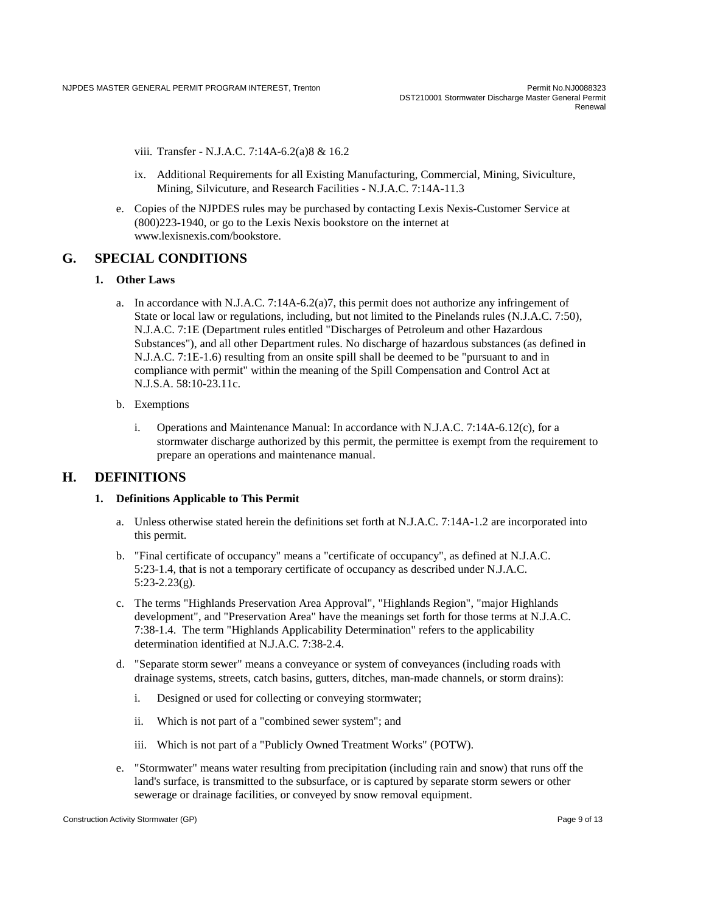DST210001 Stormwater Discharge Master General Permit Renewal

viii. Transfer - N.J.A.C. 7:14A-6.2(a)8 & 16.2

- ix. Additional Requirements for all Existing Manufacturing, Commercial, Mining, Siviculture, Mining, Silvicuture, and Research Facilities - N.J.A.C. 7:14A-11.3
- e. Copies of the NJPDES rules may be purchased by contacting Lexis Nexis-Customer Service at (800)223-1940, or go to the Lexis Nexis bookstore on the internet at www.lexisnexis.com/bookstore.

# **G. SPECIAL CONDITIONS**

#### **1. Other Laws**

- a. In accordance with N.J.A.C. 7:14A-6.2(a)7, this permit does not authorize any infringement of State or local law or regulations, including, but not limited to the Pinelands rules (N.J.A.C. 7:50), N.J.A.C. 7:1E (Department rules entitled "Discharges of Petroleum and other Hazardous Substances"), and all other Department rules. No discharge of hazardous substances (as defined in N.J.A.C. 7:1E-1.6) resulting from an onsite spill shall be deemed to be "pursuant to and in compliance with permit" within the meaning of the Spill Compensation and Control Act at N.J.S.A. 58:10-23.11c.
- b. Exemptions
	- i. Operations and Maintenance Manual: In accordance with N.J.A.C. 7:14A-6.12(c), for a stormwater discharge authorized by this permit, the permittee is exempt from the requirement to prepare an operations and maintenance manual.

# **H. DEFINITIONS**

#### **1. Definitions Applicable to This Permit**

- a. Unless otherwise stated herein the definitions set forth at N.J.A.C. 7:14A-1.2 are incorporated into this permit.
- b. "Final certificate of occupancy" means a "certificate of occupancy", as defined at N.J.A.C. 5:23-1.4, that is not a temporary certificate of occupancy as described under N.J.A.C. 5:23-2.23(g).
- c. The terms "Highlands Preservation Area Approval", "Highlands Region", "major Highlands development", and "Preservation Area" have the meanings set forth for those terms at N.J.A.C. 7:38-1.4. The term "Highlands Applicability Determination" refers to the applicability determination identified at N.J.A.C. 7:38-2.4.
- d. "Separate storm sewer" means a conveyance or system of conveyances (including roads with drainage systems, streets, catch basins, gutters, ditches, man-made channels, or storm drains):
	- i. Designed or used for collecting or conveying stormwater;
	- ii. Which is not part of a "combined sewer system"; and
	- iii. Which is not part of a "Publicly Owned Treatment Works" (POTW).
- e. "Stormwater" means water resulting from precipitation (including rain and snow) that runs off the land's surface, is transmitted to the subsurface, or is captured by separate storm sewers or other sewerage or drainage facilities, or conveyed by snow removal equipment.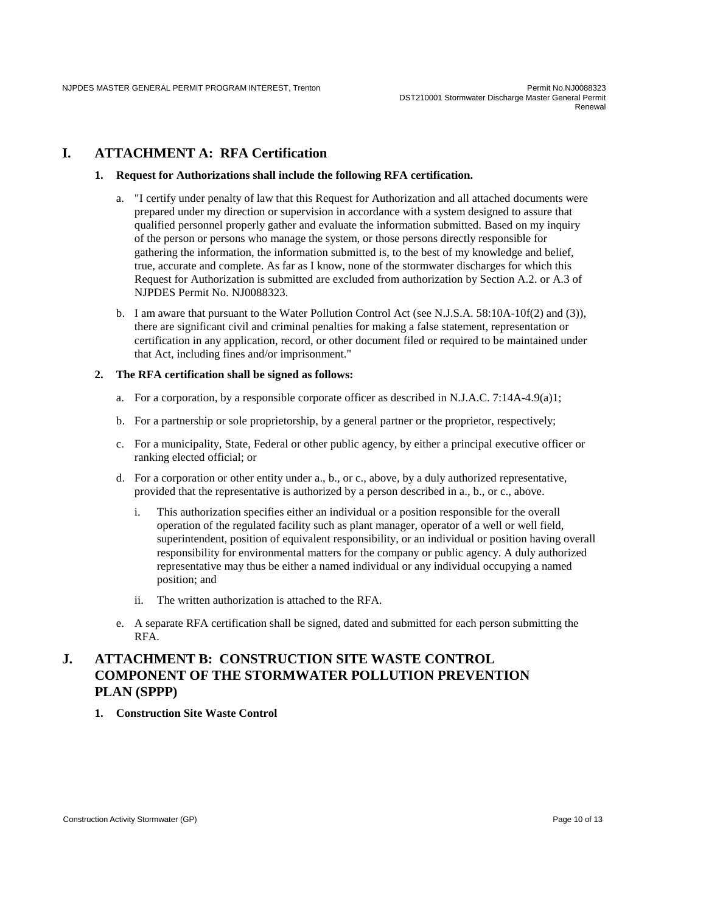# **I. ATTACHMENT A: RFA Certification**

#### **1. Request for Authorizations shall include the following RFA certification.**

- a. "I certify under penalty of law that this Request for Authorization and all attached documents were prepared under my direction or supervision in accordance with a system designed to assure that qualified personnel properly gather and evaluate the information submitted. Based on my inquiry of the person or persons who manage the system, or those persons directly responsible for gathering the information, the information submitted is, to the best of my knowledge and belief, true, accurate and complete. As far as I know, none of the stormwater discharges for which this Request for Authorization is submitted are excluded from authorization by Section A.2. or A.3 of NJPDES Permit No. NJ0088323.
- b. I am aware that pursuant to the Water Pollution Control Act (see N.J.S.A. 58:10A-10f(2) and (3)), there are significant civil and criminal penalties for making a false statement, representation or certification in any application, record, or other document filed or required to be maintained under that Act, including fines and/or imprisonment."

#### **2. The RFA certification shall be signed as follows:**

- a. For a corporation, by a responsible corporate officer as described in N.J.A.C. 7:14A-4.9(a)1;
- b. For a partnership or sole proprietorship, by a general partner or the proprietor, respectively;
- c. For a municipality, State, Federal or other public agency, by either a principal executive officer or ranking elected official; or
- d. For a corporation or other entity under a., b., or c., above, by a duly authorized representative, provided that the representative is authorized by a person described in a., b., or c., above.
	- i. This authorization specifies either an individual or a position responsible for the overall operation of the regulated facility such as plant manager, operator of a well or well field, superintendent, position of equivalent responsibility, or an individual or position having overall responsibility for environmental matters for the company or public agency. A duly authorized representative may thus be either a named individual or any individual occupying a named position; and
	- ii. The written authorization is attached to the RFA.
- e. A separate RFA certification shall be signed, dated and submitted for each person submitting the RFA.

# **J. ATTACHMENT B: CONSTRUCTION SITE WASTE CONTROL COMPONENT OF THE STORMWATER POLLUTION PREVENTION PLAN (SPPP)**

**1. Construction Site Waste Control**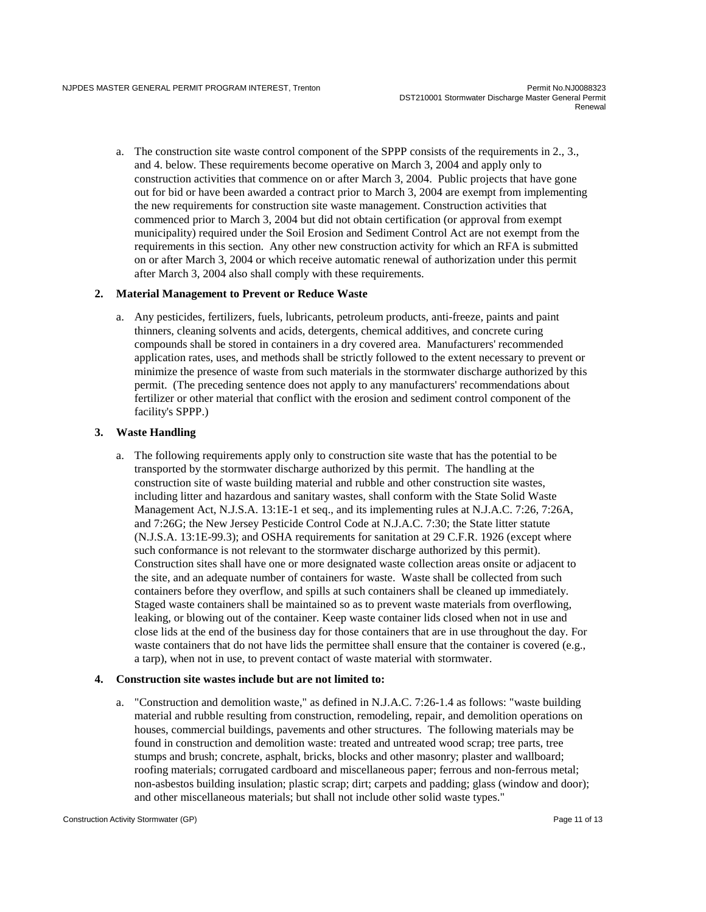a. The construction site waste control component of the SPPP consists of the requirements in 2., 3., and 4. below. These requirements become operative on March 3, 2004 and apply only to construction activities that commence on or after March 3, 2004. Public projects that have gone out for bid or have been awarded a contract prior to March 3, 2004 are exempt from implementing the new requirements for construction site waste management. Construction activities that commenced prior to March 3, 2004 but did not obtain certification (or approval from exempt municipality) required under the Soil Erosion and Sediment Control Act are not exempt from the requirements in this section. Any other new construction activity for which an RFA is submitted on or after March 3, 2004 or which receive automatic renewal of authorization under this permit after March 3, 2004 also shall comply with these requirements.

#### **2. Material Management to Prevent or Reduce Waste**

a. Any pesticides, fertilizers, fuels, lubricants, petroleum products, anti-freeze, paints and paint thinners, cleaning solvents and acids, detergents, chemical additives, and concrete curing compounds shall be stored in containers in a dry covered area. Manufacturers' recommended application rates, uses, and methods shall be strictly followed to the extent necessary to prevent or minimize the presence of waste from such materials in the stormwater discharge authorized by this permit. (The preceding sentence does not apply to any manufacturers' recommendations about fertilizer or other material that conflict with the erosion and sediment control component of the facility's SPPP.)

#### **3. Waste Handling**

a. The following requirements apply only to construction site waste that has the potential to be transported by the stormwater discharge authorized by this permit. The handling at the construction site of waste building material and rubble and other construction site wastes, including litter and hazardous and sanitary wastes, shall conform with the State Solid Waste Management Act, N.J.S.A. 13:1E-1 et seq., and its implementing rules at N.J.A.C. 7:26, 7:26A, and 7:26G; the New Jersey Pesticide Control Code at N.J.A.C. 7:30; the State litter statute (N.J.S.A. 13:1E-99.3); and OSHA requirements for sanitation at 29 C.F.R. 1926 (except where such conformance is not relevant to the stormwater discharge authorized by this permit). Construction sites shall have one or more designated waste collection areas onsite or adjacent to the site, and an adequate number of containers for waste. Waste shall be collected from such containers before they overflow, and spills at such containers shall be cleaned up immediately. Staged waste containers shall be maintained so as to prevent waste materials from overflowing, leaking, or blowing out of the container. Keep waste container lids closed when not in use and close lids at the end of the business day for those containers that are in use throughout the day. For waste containers that do not have lids the permittee shall ensure that the container is covered (e.g., a tarp), when not in use, to prevent contact of waste material with stormwater.

#### **4. Construction site wastes include but are not limited to:**

a. "Construction and demolition waste," as defined in N.J.A.C. 7:26-1.4 as follows: "waste building material and rubble resulting from construction, remodeling, repair, and demolition operations on houses, commercial buildings, pavements and other structures. The following materials may be found in construction and demolition waste: treated and untreated wood scrap; tree parts, tree stumps and brush; concrete, asphalt, bricks, blocks and other masonry; plaster and wallboard; roofing materials; corrugated cardboard and miscellaneous paper; ferrous and non-ferrous metal; non-asbestos building insulation; plastic scrap; dirt; carpets and padding; glass (window and door); and other miscellaneous materials; but shall not include other solid waste types."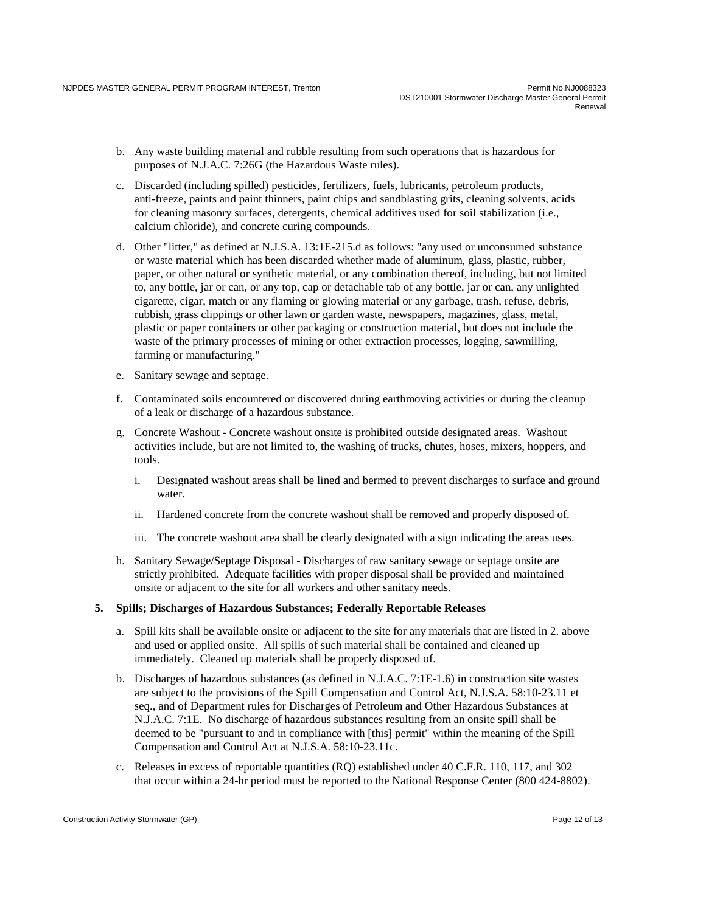- b. Any waste building material and rubble resulting from such operations that is hazardous for purposes of N.J.A.C. 7:26G (the Hazardous Waste rules).
- c. Discarded (including spilled) pesticides, fertilizers, fuels, lubricants, petroleum products, anti-freeze, paints and paint thinners, paint chips and sandblasting grits, cleaning solvents, acids for cleaning masonry surfaces, detergents, chemical additives used for soil stabilization (i.e., calcium chloride), and concrete curing compounds.
- d. Other "litter," as defined at N.J.S.A. 13:1E-215.d as follows: "any used or unconsumed substance or waste material which has been discarded whether made of aluminum, glass, plastic, rubber, paper, or other natural or synthetic material, or any combination thereof, including, but not limited to, any bottle, jar or can, or any top, cap or detachable tab of any bottle, jar or can, any unlighted cigarette, cigar, match or any flaming or glowing material or any garbage, trash, refuse, debris, rubbish, grass clippings or other lawn or garden waste, newspapers, magazines, glass, metal, plastic or paper containers or other packaging or construction material, but does not include the waste of the primary processes of mining or other extraction processes, logging, sawmilling, farming or manufacturing."
- e. Sanitary sewage and septage.
- f. Contaminated soils encountered or discovered during earthmoving activities or during the cleanup of a leak or discharge of a hazardous substance.
- g. Concrete Washout Concrete washout onsite is prohibited outside designated areas. Washout activities include, but are not limited to, the washing of trucks, chutes, hoses, mixers, hoppers, and tools.
	- i. Designated washout areas shall be lined and bermed to prevent discharges to surface and ground water.
	- ii. Hardened concrete from the concrete washout shall be removed and properly disposed of.
	- iii. The concrete washout area shall be clearly designated with a sign indicating the areas uses.
- h. Sanitary Sewage/Septage Disposal Discharges of raw sanitary sewage or septage onsite are strictly prohibited. Adequate facilities with proper disposal shall be provided and maintained onsite or adjacent to the site for all workers and other sanitary needs.

#### **5. Spills; Discharges of Hazardous Substances; Federally Reportable Releases**

- a. Spill kits shall be available onsite or adjacent to the site for any materials that are listed in 2. above and used or applied onsite. All spills of such material shall be contained and cleaned up immediately. Cleaned up materials shall be properly disposed of.
- b. Discharges of hazardous substances (as defined in N.J.A.C. 7:1E-1.6) in construction site wastes are subject to the provisions of the Spill Compensation and Control Act, N.J.S.A. 58:10-23.11 et seq., and of Department rules for Discharges of Petroleum and Other Hazardous Substances at N.J.A.C. 7:1E. No discharge of hazardous substances resulting from an onsite spill shall be deemed to be "pursuant to and in compliance with [this] permit" within the meaning of the Spill Compensation and Control Act at N.J.S.A. 58:10-23.11c.
- c. Releases in excess of reportable quantities (RQ) established under 40 C.F.R. 110, 117, and 302 that occur within a 24-hr period must be reported to the National Response Center (800 424-8802).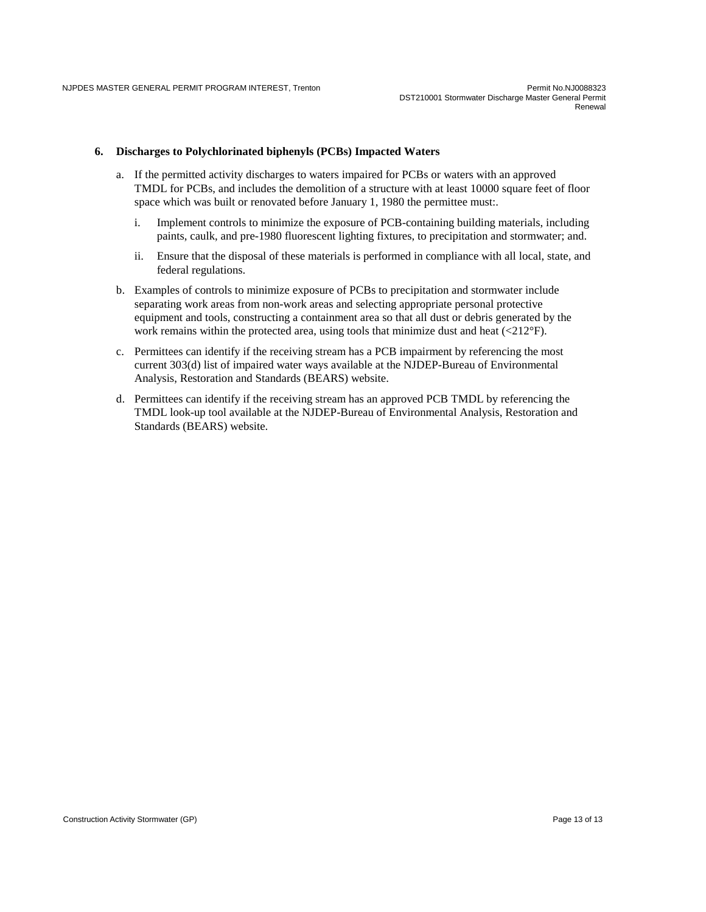#### **6. Discharges to Polychlorinated biphenyls (PCBs) Impacted Waters**

- a. If the permitted activity discharges to waters impaired for PCBs or waters with an approved TMDL for PCBs, and includes the demolition of a structure with at least 10000 square feet of floor space which was built or renovated before January 1, 1980 the permittee must:.
	- i. Implement controls to minimize the exposure of PCB-containing building materials, including paints, caulk, and pre-1980 fluorescent lighting fixtures, to precipitation and stormwater; and.
	- ii. Ensure that the disposal of these materials is performed in compliance with all local, state, and federal regulations.
- b. Examples of controls to minimize exposure of PCBs to precipitation and stormwater include separating work areas from non-work areas and selecting appropriate personal protective equipment and tools, constructing a containment area so that all dust or debris generated by the work remains within the protected area, using tools that minimize dust and heat  $(\langle 212 \text{°F} \rangle)$ .
- c. Permittees can identify if the receiving stream has a PCB impairment by referencing the most current 303(d) list of impaired water ways available at the NJDEP-Bureau of Environmental Analysis, Restoration and Standards (BEARS) website.
- d. Permittees can identify if the receiving stream has an approved PCB TMDL by referencing the TMDL look-up tool available at the NJDEP-Bureau of Environmental Analysis, Restoration and Standards (BEARS) website.